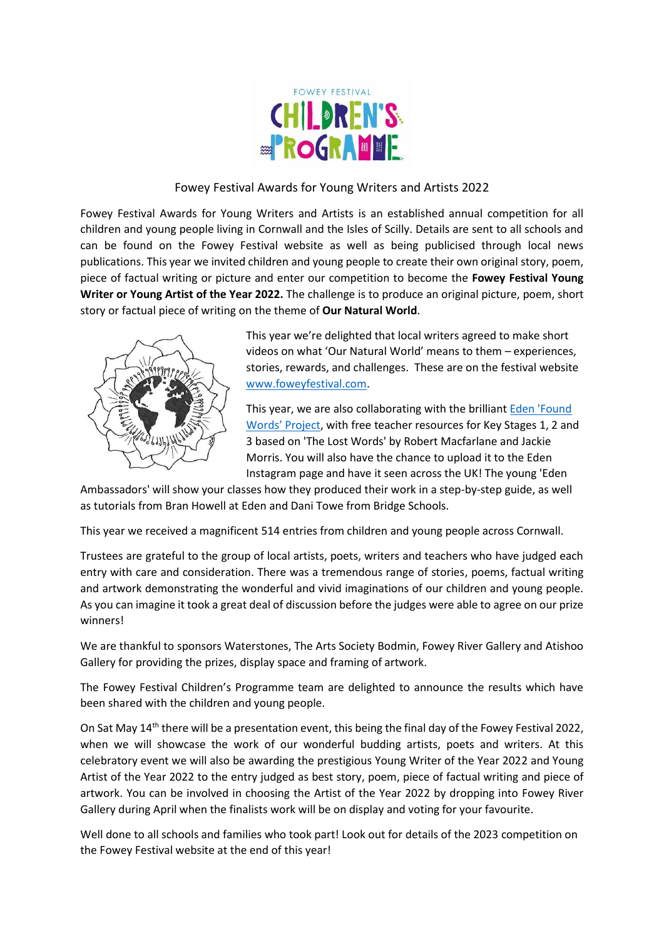

#### Fowey Festival Awards for Young Writers and Artists 2022

Fowey Festival Awards for Young Writers and Artists is an established annual competition for all children and young people living in Cornwall and the Isles of Scilly. Details are sent to all schools and can be found on the Fowey Festival website as well as being publicised through local news publications. This year we invited children and young people to create their own original story, poem, piece of factual writing or picture and enter our competition to become the **Fowey Festival Young Writer or Young Artist of the Year 2022.** The challenge is to produce an original picture, poem, short story or factual piece of writing on the theme of **Our Natural World**.



This year we're delighted that local writers agreed to make short videos on what 'Our Natural World' means to them – experiences, stories, rewards, and challenges. These are on the festival website [www.foweyfestival.com.](http://www.foweyfestival.com/)

This year, we are also collaborating with the brilliant [Eden 'Found](https://www.edenproject.com/learn/schools/school-lesson-plans/found-words)  [Words' Project](https://www.edenproject.com/learn/schools/school-lesson-plans/found-words), with free teacher resources for Key Stages 1, 2 and 3 based on 'The Lost Words' by Robert Macfarlane and Jackie Morris. You will also have the chance to upload it to the Eden Instagram page and have it seen across the UK! The young 'Eden

Ambassadors' will show your classes how they produced their work in a step-by-step guide, as well as tutorials from Bran Howell at Eden and Dani Towe from Bridge Schools.

This year we received a magnificent 514 entries from children and young people across Cornwall.

Trustees are grateful to the group of local artists, poets, writers and teachers who have judged each entry with care and consideration. There was a tremendous range of stories, poems, factual writing and artwork demonstrating the wonderful and vivid imaginations of our children and young people. As you can imagine it took a great deal of discussion before the judges were able to agree on our prize winners!

We are thankful to sponsors Waterstones, The Arts Society Bodmin, Fowey River Gallery and Atishoo Gallery for providing the prizes, display space and framing of artwork.

The Fowey Festival Children's Programme team are delighted to announce the results which have been shared with the children and young people.

On Sat May 14<sup>th</sup> there will be a presentation event, this being the final day of the Fowey Festival 2022, when we will showcase the work of our wonderful budding artists, poets and writers. At this celebratory event we will also be awarding the prestigious Young Writer of the Year 2022 and Young Artist of the Year 2022 to the entry judged as best story, poem, piece of factual writing and piece of artwork. You can be involved in choosing the Artist of the Year 2022 by dropping into Fowey River Gallery during April when the finalists work will be on display and voting for your favourite.

Well done to all schools and families who took part! Look out for details of the 2023 competition on the Fowey Festival website at the end of this year!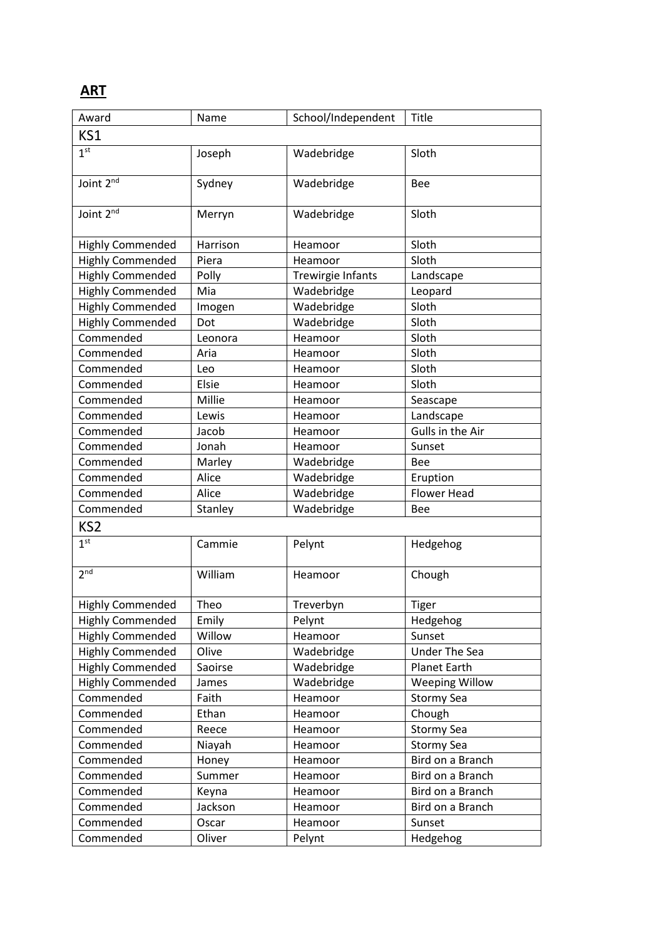# **ART**

| Award                   | Name     | School/Independent | Title                 |  |  |
|-------------------------|----------|--------------------|-----------------------|--|--|
| KS1                     |          |                    |                       |  |  |
| 1 <sup>st</sup>         | Joseph   | Wadebridge         | Sloth                 |  |  |
|                         |          |                    |                       |  |  |
| Joint 2nd               | Sydney   | Wadebridge         | Bee                   |  |  |
|                         |          |                    |                       |  |  |
| Joint 2 <sup>nd</sup>   | Merryn   | Wadebridge         | Sloth                 |  |  |
|                         |          |                    |                       |  |  |
| <b>Highly Commended</b> | Harrison | Heamoor            | Sloth                 |  |  |
| <b>Highly Commended</b> | Piera    | Heamoor            | Sloth                 |  |  |
| <b>Highly Commended</b> | Polly    | Trewirgie Infants  | Landscape             |  |  |
| <b>Highly Commended</b> | Mia      | Wadebridge         | Leopard               |  |  |
| <b>Highly Commended</b> | Imogen   | Wadebridge         | Sloth                 |  |  |
| <b>Highly Commended</b> | Dot      | Wadebridge         | Sloth                 |  |  |
| Commended               | Leonora  | Heamoor            | Sloth                 |  |  |
| Commended               | Aria     | Heamoor            | Sloth                 |  |  |
| Commended               | Leo      | Heamoor            | Sloth                 |  |  |
| Commended               | Elsie    | Heamoor            | Sloth                 |  |  |
| Commended               | Millie   | Heamoor            | Seascape              |  |  |
| Commended               | Lewis    | Heamoor            | Landscape             |  |  |
| Commended               | Jacob    | Heamoor            | Gulls in the Air      |  |  |
| Commended               | Jonah    | Heamoor            | Sunset                |  |  |
| Commended               | Marley   | Wadebridge         | <b>Bee</b>            |  |  |
| Commended               | Alice    | Wadebridge         | Eruption              |  |  |
| Commended               | Alice    | Wadebridge         | <b>Flower Head</b>    |  |  |
| Commended               | Stanley  | Wadebridge         | Bee                   |  |  |
| KS <sub>2</sub>         |          |                    |                       |  |  |
| 1 <sup>st</sup>         | Cammie   | Pelynt             | Hedgehog              |  |  |
|                         |          |                    |                       |  |  |
| 2 <sub>nd</sub>         | William  | Heamoor            | Chough                |  |  |
|                         |          |                    |                       |  |  |
| <b>Highly Commended</b> | Theo     | Treverbyn          | Tiger                 |  |  |
| <b>Highly Commended</b> | Emily    | Pelynt             | Hedgehog              |  |  |
| <b>Highly Commended</b> | Willow   | Heamoor            | Sunset                |  |  |
| <b>Highly Commended</b> | Olive    | Wadebridge         | <b>Under The Sea</b>  |  |  |
| <b>Highly Commended</b> | Saoirse  | Wadebridge         | <b>Planet Earth</b>   |  |  |
| <b>Highly Commended</b> | James    | Wadebridge         | <b>Weeping Willow</b> |  |  |
| Commended               | Faith    | Heamoor            | <b>Stormy Sea</b>     |  |  |
| Commended               | Ethan    | Heamoor            | Chough                |  |  |
| Commended               | Reece    | Heamoor            | <b>Stormy Sea</b>     |  |  |
| Commended               | Niayah   | Heamoor            | <b>Stormy Sea</b>     |  |  |
| Commended               | Honey    | Heamoor            | Bird on a Branch      |  |  |
| Commended               | Summer   | Heamoor            | Bird on a Branch      |  |  |
| Commended               | Keyna    | Heamoor            | Bird on a Branch      |  |  |
| Commended               | Jackson  | Heamoor            | Bird on a Branch      |  |  |
| Commended               | Oscar    | Heamoor            | Sunset                |  |  |
| Commended               | Oliver   | Pelynt             | Hedgehog              |  |  |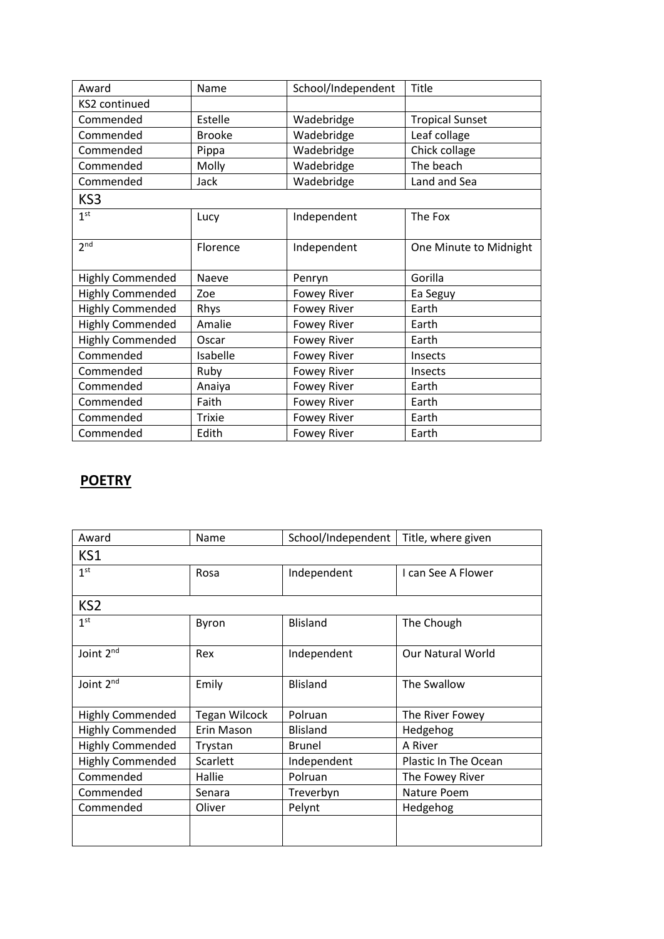| Award                   | Name          | School/Independent | Title                  |
|-------------------------|---------------|--------------------|------------------------|
| KS2 continued           |               |                    |                        |
| Commended               | Estelle       | Wadebridge         | <b>Tropical Sunset</b> |
| Commended               | <b>Brooke</b> | Wadebridge         | Leaf collage           |
| Commended               | Pippa         | Wadebridge         | Chick collage          |
| Commended               | Molly         | Wadebridge         | The beach              |
| Commended               | Jack          | Wadebridge         | Land and Sea           |
| KS3                     |               |                    |                        |
| 1 <sup>st</sup>         | Lucy          | Independent        | The Fox                |
| 2 <sup>nd</sup>         | Florence      | Independent        | One Minute to Midnight |
| <b>Highly Commended</b> | Naeve         | Penryn             | Gorilla                |
| <b>Highly Commended</b> | Zoe           | <b>Fowey River</b> | Ea Seguy               |
| <b>Highly Commended</b> | Rhys          | <b>Fowey River</b> | Earth                  |
| <b>Highly Commended</b> | Amalie        | <b>Fowey River</b> | Earth                  |
| <b>Highly Commended</b> | Oscar         | <b>Fowey River</b> | Earth                  |
| Commended               | Isabelle      | <b>Fowey River</b> | <b>Insects</b>         |
| Commended               | Ruby          | <b>Fowey River</b> | Insects                |
| Commended               | Anaiya        | <b>Fowey River</b> | Earth                  |
| Commended               | Faith         | <b>Fowey River</b> | Earth                  |
| Commended               | <b>Trixie</b> | <b>Fowey River</b> | Earth                  |
| Commended               | Edith         | <b>Fowey River</b> | Earth                  |

### **POETRY**

| Award                   | Name                 | School/Independent | Title, where given       |  |
|-------------------------|----------------------|--------------------|--------------------------|--|
| KS1                     |                      |                    |                          |  |
| 1 <sup>st</sup>         | Rosa                 | Independent        | I can See A Flower       |  |
|                         |                      |                    |                          |  |
| KS <sub>2</sub>         |                      |                    |                          |  |
| 1 <sup>st</sup>         | Byron                | <b>Blisland</b>    | The Chough               |  |
| Joint 2nd               | Rex                  | Independent        | <b>Our Natural World</b> |  |
| Joint 2 <sup>nd</sup>   | Emily                | <b>Blisland</b>    | The Swallow              |  |
| <b>Highly Commended</b> | <b>Tegan Wilcock</b> | Polruan            | The River Fowey          |  |
| <b>Highly Commended</b> | Erin Mason           | <b>Blisland</b>    | Hedgehog                 |  |
| <b>Highly Commended</b> | Trystan              | Brunel             | A River                  |  |
| <b>Highly Commended</b> | Scarlett             | Independent        | Plastic In The Ocean     |  |
| Commended               | Hallie               | Polruan            | The Fowey River          |  |
| Commended               | Senara               | Treverbyn          | Nature Poem              |  |
| Commended               | Oliver               | Pelynt             | Hedgehog                 |  |
|                         |                      |                    |                          |  |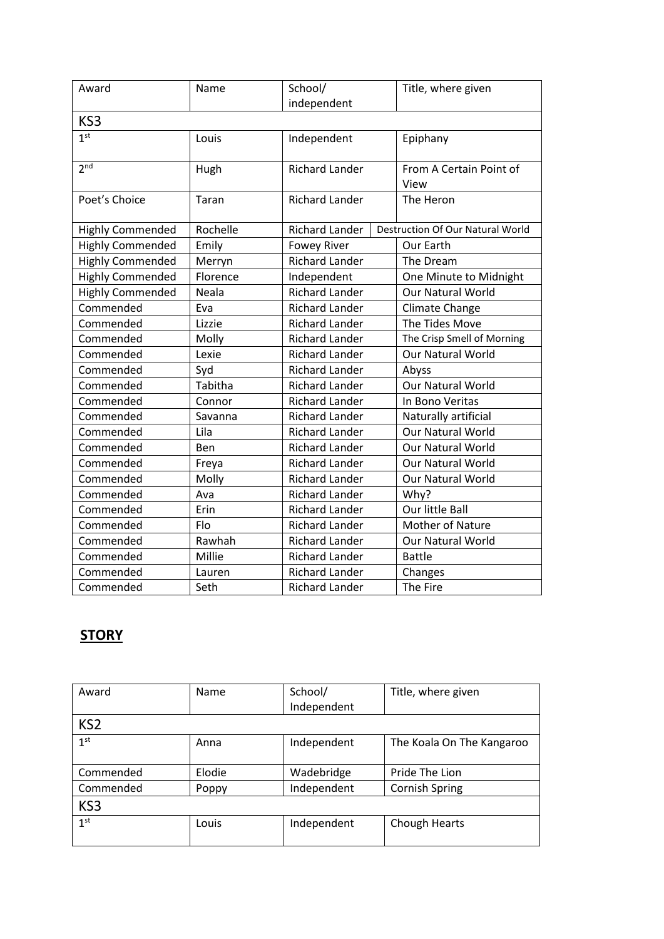| Award                   | Name     | School/               | Title, where given                      |
|-------------------------|----------|-----------------------|-----------------------------------------|
|                         |          | independent           |                                         |
| KS3                     |          |                       |                                         |
| 1 <sup>st</sup>         | Louis    | Independent           | Epiphany                                |
| 2 <sub>nd</sub>         | Hugh     | <b>Richard Lander</b> | From A Certain Point of<br>View         |
| Poet's Choice           | Taran    | <b>Richard Lander</b> | The Heron                               |
| <b>Highly Commended</b> | Rochelle | <b>Richard Lander</b> | <b>Destruction Of Our Natural World</b> |
| <b>Highly Commended</b> | Emily    | <b>Fowey River</b>    | Our Earth                               |
| <b>Highly Commended</b> | Merryn   | <b>Richard Lander</b> | The Dream                               |
| <b>Highly Commended</b> | Florence | Independent           | One Minute to Midnight                  |
| <b>Highly Commended</b> | Neala    | <b>Richard Lander</b> | <b>Our Natural World</b>                |
| Commended               | Eva      | <b>Richard Lander</b> | Climate Change                          |
| Commended               | Lizzie   | <b>Richard Lander</b> | The Tides Move                          |
| Commended               | Molly    | <b>Richard Lander</b> | The Crisp Smell of Morning              |
| Commended               | Lexie    | <b>Richard Lander</b> | Our Natural World                       |
| Commended               | Syd      | <b>Richard Lander</b> | Abyss                                   |
| Commended               | Tabitha  | <b>Richard Lander</b> | <b>Our Natural World</b>                |
| Commended               | Connor   | <b>Richard Lander</b> | In Bono Veritas                         |
| Commended               | Savanna  | <b>Richard Lander</b> | Naturally artificial                    |
| Commended               | Lila     | <b>Richard Lander</b> | <b>Our Natural World</b>                |
| Commended               | Ben      | <b>Richard Lander</b> | <b>Our Natural World</b>                |
| Commended               | Freya    | <b>Richard Lander</b> | <b>Our Natural World</b>                |
| Commended               | Molly    | <b>Richard Lander</b> | <b>Our Natural World</b>                |
| Commended               | Ava      | <b>Richard Lander</b> | Why?                                    |
| Commended               | Erin     | <b>Richard Lander</b> | Our little Ball                         |
| Commended               | Flo      | <b>Richard Lander</b> | Mother of Nature                        |
| Commended               | Rawhah   | <b>Richard Lander</b> | Our Natural World                       |
| Commended               | Millie   | <b>Richard Lander</b> | <b>Battle</b>                           |
| Commended               | Lauren   | <b>Richard Lander</b> | Changes                                 |
| Commended               | Seth     | <b>Richard Lander</b> | The Fire                                |

# **STORY**

| Award           | Name   | School/     | Title, where given        |
|-----------------|--------|-------------|---------------------------|
|                 |        | Independent |                           |
| KS <sub>2</sub> |        |             |                           |
| 1 <sup>st</sup> | Anna   | Independent | The Koala On The Kangaroo |
|                 |        |             |                           |
| Commended       | Elodie | Wadebridge  | Pride The Lion            |
| Commended       | Poppy  | Independent | <b>Cornish Spring</b>     |
| KS <sub>3</sub> |        |             |                           |
| 1 <sup>st</sup> | Louis  | Independent | Chough Hearts             |
|                 |        |             |                           |